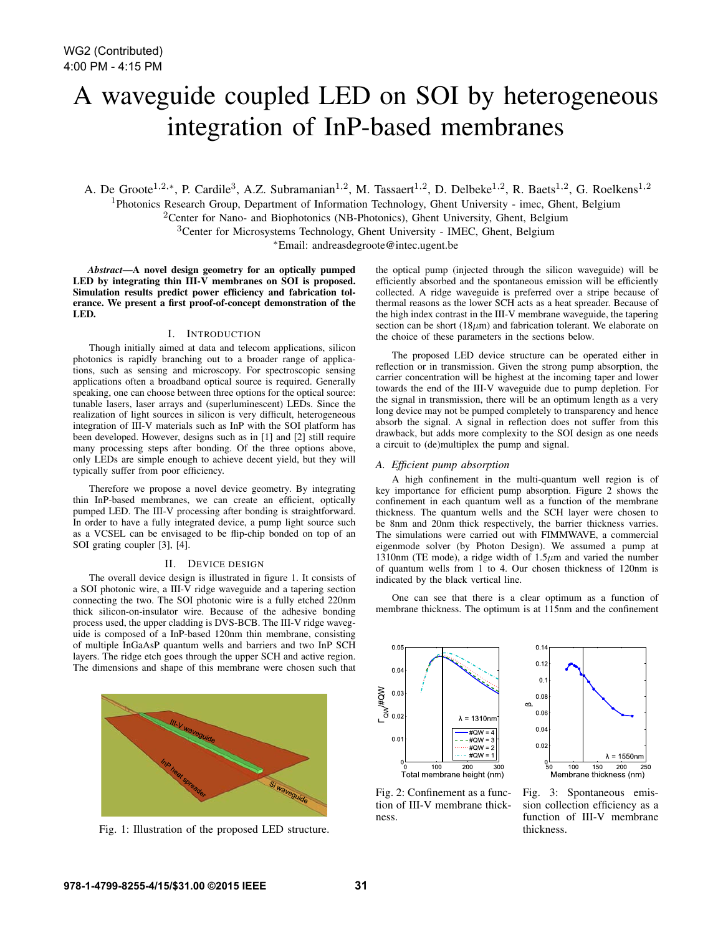# A waveguide coupled LED on SOI by heterogeneous integration of InP-based membranes

A. De Groote<sup>1,2,∗</sup>, P. Cardile<sup>3</sup>, A.Z. Subramanian<sup>1,2</sup>, M. Tassaert<sup>1,2</sup>, D. Delbeke<sup>1,2</sup>, R. Baets<sup>1,2</sup>, G. Roelkens<sup>1,2</sup>

<sup>1</sup>Photonics Research Group, Department of Information Technology, Ghent University - imec, Ghent, Belgium

<sup>2</sup>Center for Nano- and Biophotonics (NB-Photonics), Ghent University, Ghent, Belgium

<sup>3</sup>Center for Microsystems Technology, Ghent University - IMEC, Ghent, Belgium <sup>∗</sup>Email: andreasdegroote@intec.ugent.be

*Abstract*—A novel design geometry for an optically pumped LED by integrating thin  $\overline{III}$ - $\overline{V}$  membranes on SOI is proposed. Simulation results predict power efficiency and fabrication tolerance. We present a first proof-of-concept demonstration of the LED.

# I. INTRODUCTION

Though initially aimed at data and telecom applications, silicon photonics is rapidly branching out to a broader range of applications, such as sensing and microscopy. For spectroscopic sensing applications often a broadband optical source is required. Generally speaking, one can choose between three options for the optical source: tunable lasers, laser arrays and (superluminescent) LEDs. Since the realization of light sources in silicon is very difficult, heterogeneous integration of III-V materials such as InP with the SOI platform has been developed. However, designs such as in [1] and [2] still require many processing steps after bonding. Of the three options above, only LEDs are simple enough to achieve decent yield, but they will typically suffer from poor efficiency.

Therefore we propose a novel device geometry. By integrating thin InP-based membranes, we can create an efficient, optically pumped LED. The III-V processing after bonding is straightforward. In order to have a fully integrated device, a pump light source such as a VCSEL can be envisaged to be flip-chip bonded on top of an SOI grating coupler [3], [4].

# II. DEVICE DESIGN

The overall device design is illustrated in figure 1. It consists of a SOI photonic wire, a III-V ridge waveguide and a tapering section connecting the two. The SOI photonic wire is a fully etched 220nm thick silicon-on-insulator wire. Because of the adhesive bonding process used, the upper cladding is DVS-BCB. The III-V ridge waveguide is composed of a InP-based 120nm thin membrane, consisting of multiple InGaAsP quantum wells and barriers and two InP SCH layers. The ridge etch goes through the upper SCH and active region. The dimensions and shape of this membrane were chosen such that



Fig. 1: Illustration of the proposed LED structure.

the optical pump (injected through the silicon waveguide) will be efficiently absorbed and the spontaneous emission will be efficiently collected. A ridge waveguide is preferred over a stripe because of thermal reasons as the lower SCH acts as a heat spreader. Because of the high index contrast in the III-V membrane waveguide, the tapering section can be short (18 $\mu$ m) and fabrication tolerant. We elaborate on the choice of these parameters in the sections below.

The proposed LED device structure can be operated either in reflection or in transmission. Given the strong pump absorption, the carrier concentration will be highest at the incoming taper and lower towards the end of the III-V waveguide due to pump depletion. For the signal in transmission, there will be an optimum length as a very long device may not be pumped completely to transparency and hence absorb the signal. A signal in reflection does not suffer from this drawback, but adds more complexity to the SOI design as one needs a circuit to (de)multiplex the pump and signal.

# *A. Efficient pump absorption*

A high confinement in the multi-quantum well region is of key importance for efficient pump absorption. Figure 2 shows the confinement in each quantum well as a function of the membrane thickness. The quantum wells and the SCH layer were chosen to be 8nm and 20nm thick respectively, the barrier thickness varries. The simulations were carried out with FIMMWAVE, a commercial eigenmode solver (by Photon Design). We assumed a pump at 1310nm (TE mode), a ridge width of  $1.5\mu$ m and varied the number of quantum wells from 1 to 4. Our chosen thickness of 120nm is indicated by the black vertical line.

One can see that there is a clear optimum as a function of membrane thickness. The optimum is at 115nm and the confinement

 $0.05$  $\Gamma_{\text{QW}}$ /#QW  $0.0$  $0.0$  $\lambda = 1310$ nn #QW  $0.0$  $#OW =$  $#QW =$ #QW ັ0 100 200 300<br>Total membrane height (nm)



Fig. 2: Confinement as a function of III-V membrane thickness.

Fig. 3: Spontaneous emission collection efficiency as a function of III-V membrane thickness.